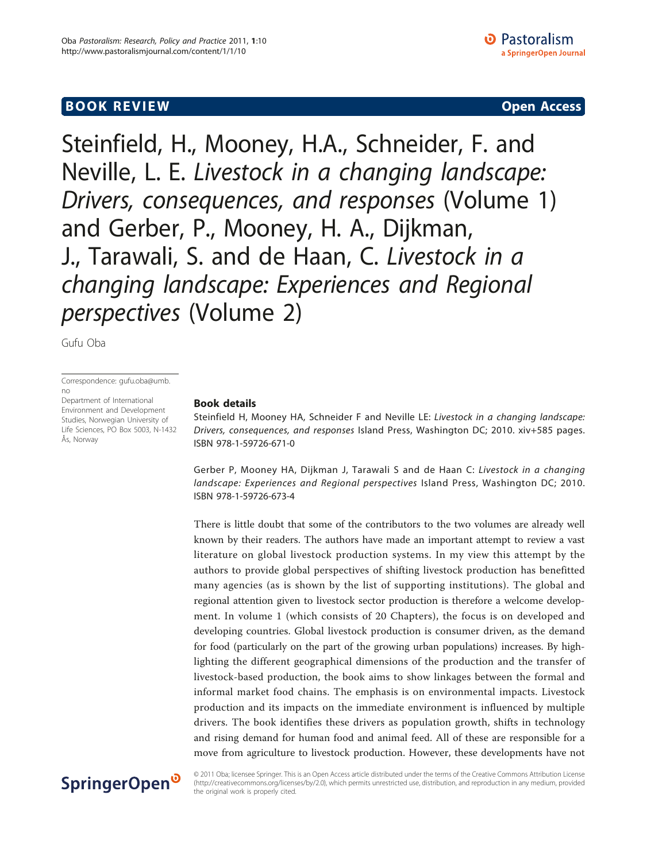# **BOOK REVIEW CONTROL** CONTROL CONTROL CONTROL CONTROL CONTROL CONTROL CONTROL CONTROL CONTROL CONTROL CONTROL CONTROL CONTROL CONTROL CONTROL CONTROL CONTROL CONTROL CONTROL CONTROL CONTROL CONTROL CONTROL CONTROL CONTROL

Steinfield, H., Mooney, H.A., Schneider, F. and Neville, L. E. Livestock in a changing landscape: Drivers, consequences, and responses (Volume 1) and Gerber, P., Mooney, H. A., Dijkman, J., Tarawali, S. and de Haan, C. Livestock in a changing landscape: Experiences and Regional perspectives (Volume 2)

Gufu Oba

Correspondence: [gufu.oba@umb.](mailto:gufu.oba@umb.no) [no](mailto:gufu.oba@umb.no)

Department of International Environment and Development Studies, Norwegian University of Life Sciences, PO Box 5003, N-1432 Ås, Norway

## Book details

Steinfield H, Mooney HA, Schneider F and Neville LE: Livestock in a changing landscape: Drivers, consequences, and responses Island Press, Washington DC; 2010. xiv+585 pages. ISBN 978-1-59726-671-0

Gerber P, Mooney HA, Dijkman J, Tarawali S and de Haan C: Livestock in a changing landscape: Experiences and Regional perspectives Island Press, Washington DC; 2010. ISBN 978-1-59726-673-4

There is little doubt that some of the contributors to the two volumes are already well known by their readers. The authors have made an important attempt to review a vast literature on global livestock production systems. In my view this attempt by the authors to provide global perspectives of shifting livestock production has benefitted many agencies (as is shown by the list of supporting institutions). The global and regional attention given to livestock sector production is therefore a welcome development. In volume 1 (which consists of 20 Chapters), the focus is on developed and developing countries. Global livestock production is consumer driven, as the demand for food (particularly on the part of the growing urban populations) increases. By highlighting the different geographical dimensions of the production and the transfer of livestock-based production, the book aims to show linkages between the formal and informal market food chains. The emphasis is on environmental impacts. Livestock production and its impacts on the immediate environment is influenced by multiple drivers. The book identifies these drivers as population growth, shifts in technology and rising demand for human food and animal feed. All of these are responsible for a move from agriculture to livestock production. However, these developments have not

# SpringerOpen<sup>®</sup>

© 2011 Oba; licensee Springer. This is an Open Access article distributed under the terms of the Creative Commons Attribution License [\(http://creativecommons.org/licenses/by/2.0](http://creativecommons.org/licenses/by/2.0)), which permits unrestricted use, distribution, and reproduction in any medium, provided the original work is properly cited.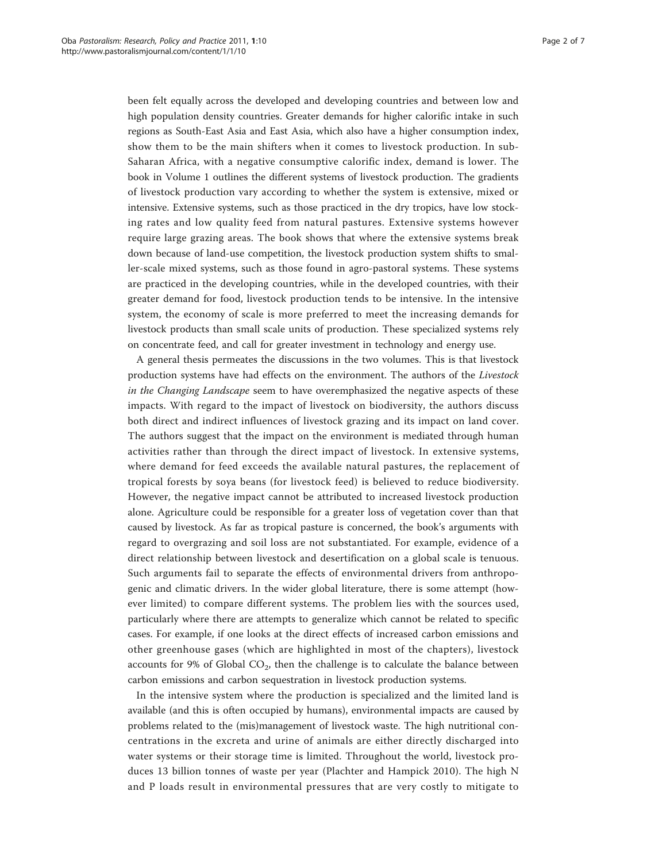been felt equally across the developed and developing countries and between low and high population density countries. Greater demands for higher calorific intake in such regions as South-East Asia and East Asia, which also have a higher consumption index, show them to be the main shifters when it comes to livestock production. In sub-Saharan Africa, with a negative consumptive calorific index, demand is lower. The book in Volume 1 outlines the different systems of livestock production. The gradients of livestock production vary according to whether the system is extensive, mixed or intensive. Extensive systems, such as those practiced in the dry tropics, have low stocking rates and low quality feed from natural pastures. Extensive systems however require large grazing areas. The book shows that where the extensive systems break down because of land-use competition, the livestock production system shifts to smaller-scale mixed systems, such as those found in agro-pastoral systems. These systems are practiced in the developing countries, while in the developed countries, with their greater demand for food, livestock production tends to be intensive. In the intensive system, the economy of scale is more preferred to meet the increasing demands for livestock products than small scale units of production. These specialized systems rely on concentrate feed, and call for greater investment in technology and energy use.

A general thesis permeates the discussions in the two volumes. This is that livestock production systems have had effects on the environment. The authors of the Livestock in the Changing Landscape seem to have overemphasized the negative aspects of these impacts. With regard to the impact of livestock on biodiversity, the authors discuss both direct and indirect influences of livestock grazing and its impact on land cover. The authors suggest that the impact on the environment is mediated through human activities rather than through the direct impact of livestock. In extensive systems, where demand for feed exceeds the available natural pastures, the replacement of tropical forests by soya beans (for livestock feed) is believed to reduce biodiversity. However, the negative impact cannot be attributed to increased livestock production alone. Agriculture could be responsible for a greater loss of vegetation cover than that caused by livestock. As far as tropical pasture is concerned, the book's arguments with regard to overgrazing and soil loss are not substantiated. For example, evidence of a direct relationship between livestock and desertification on a global scale is tenuous. Such arguments fail to separate the effects of environmental drivers from anthropogenic and climatic drivers. In the wider global literature, there is some attempt (however limited) to compare different systems. The problem lies with the sources used, particularly where there are attempts to generalize which cannot be related to specific cases. For example, if one looks at the direct effects of increased carbon emissions and other greenhouse gases (which are highlighted in most of the chapters), livestock accounts for 9% of Global  $CO<sub>2</sub>$ , then the challenge is to calculate the balance between carbon emissions and carbon sequestration in livestock production systems.

In the intensive system where the production is specialized and the limited land is available (and this is often occupied by humans), environmental impacts are caused by problems related to the (mis)management of livestock waste. The high nutritional concentrations in the excreta and urine of animals are either directly discharged into water systems or their storage time is limited. Throughout the world, livestock produces 13 billion tonnes of waste per year [\(Plachter and Hampick 2010](#page-6-0)). The high N and P loads result in environmental pressures that are very costly to mitigate to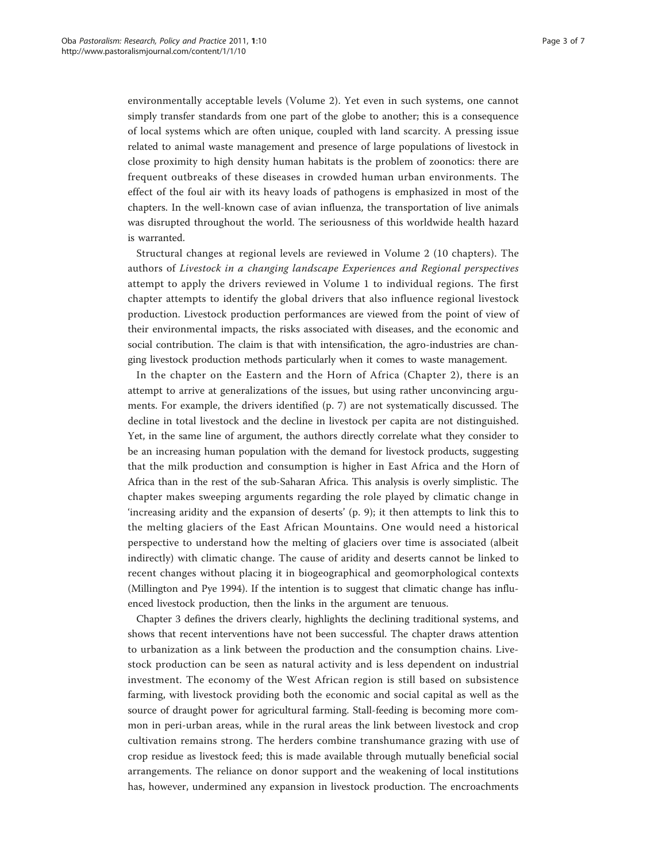environmentally acceptable levels (Volume 2). Yet even in such systems, one cannot simply transfer standards from one part of the globe to another; this is a consequence of local systems which are often unique, coupled with land scarcity. A pressing issue related to animal waste management and presence of large populations of livestock in close proximity to high density human habitats is the problem of zoonotics: there are frequent outbreaks of these diseases in crowded human urban environments. The effect of the foul air with its heavy loads of pathogens is emphasized in most of the chapters. In the well-known case of avian influenza, the transportation of live animals was disrupted throughout the world. The seriousness of this worldwide health hazard is warranted.

Structural changes at regional levels are reviewed in Volume 2 (10 chapters). The authors of Livestock in a changing landscape Experiences and Regional perspectives attempt to apply the drivers reviewed in Volume 1 to individual regions. The first chapter attempts to identify the global drivers that also influence regional livestock production. Livestock production performances are viewed from the point of view of their environmental impacts, the risks associated with diseases, and the economic and social contribution. The claim is that with intensification, the agro-industries are changing livestock production methods particularly when it comes to waste management.

In the chapter on the Eastern and the Horn of Africa (Chapter 2), there is an attempt to arrive at generalizations of the issues, but using rather unconvincing arguments. For example, the drivers identified (p. 7) are not systematically discussed. The decline in total livestock and the decline in livestock per capita are not distinguished. Yet, in the same line of argument, the authors directly correlate what they consider to be an increasing human population with the demand for livestock products, suggesting that the milk production and consumption is higher in East Africa and the Horn of Africa than in the rest of the sub-Saharan Africa. This analysis is overly simplistic. The chapter makes sweeping arguments regarding the role played by climatic change in 'increasing aridity and the expansion of deserts' (p. 9); it then attempts to link this to the melting glaciers of the East African Mountains. One would need a historical perspective to understand how the melting of glaciers over time is associated (albeit indirectly) with climatic change. The cause of aridity and deserts cannot be linked to recent changes without placing it in biogeographical and geomorphological contexts ([Millington and Pye 1994\)](#page-6-0). If the intention is to suggest that climatic change has influenced livestock production, then the links in the argument are tenuous.

Chapter 3 defines the drivers clearly, highlights the declining traditional systems, and shows that recent interventions have not been successful. The chapter draws attention to urbanization as a link between the production and the consumption chains. Livestock production can be seen as natural activity and is less dependent on industrial investment. The economy of the West African region is still based on subsistence farming, with livestock providing both the economic and social capital as well as the source of draught power for agricultural farming. Stall-feeding is becoming more common in peri-urban areas, while in the rural areas the link between livestock and crop cultivation remains strong. The herders combine transhumance grazing with use of crop residue as livestock feed; this is made available through mutually beneficial social arrangements. The reliance on donor support and the weakening of local institutions has, however, undermined any expansion in livestock production. The encroachments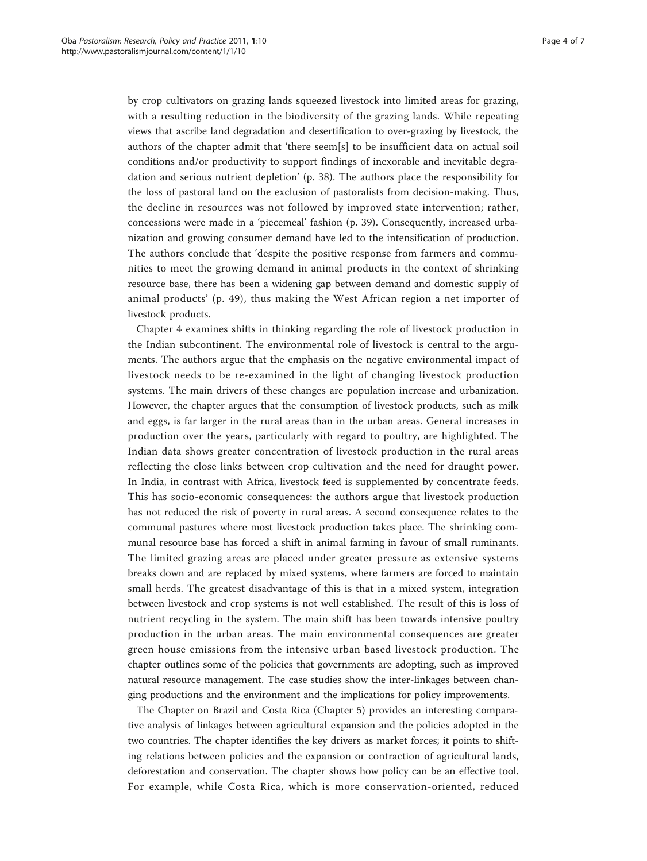by crop cultivators on grazing lands squeezed livestock into limited areas for grazing, with a resulting reduction in the biodiversity of the grazing lands. While repeating views that ascribe land degradation and desertification to over-grazing by livestock, the authors of the chapter admit that 'there seem[s] to be insufficient data on actual soil conditions and/or productivity to support findings of inexorable and inevitable degradation and serious nutrient depletion' (p. 38). The authors place the responsibility for the loss of pastoral land on the exclusion of pastoralists from decision-making. Thus, the decline in resources was not followed by improved state intervention; rather, concessions were made in a 'piecemeal' fashion (p. 39). Consequently, increased urbanization and growing consumer demand have led to the intensification of production. The authors conclude that 'despite the positive response from farmers and communities to meet the growing demand in animal products in the context of shrinking resource base, there has been a widening gap between demand and domestic supply of animal products' (p. 49), thus making the West African region a net importer of livestock products.

Chapter 4 examines shifts in thinking regarding the role of livestock production in the Indian subcontinent. The environmental role of livestock is central to the arguments. The authors argue that the emphasis on the negative environmental impact of livestock needs to be re-examined in the light of changing livestock production systems. The main drivers of these changes are population increase and urbanization. However, the chapter argues that the consumption of livestock products, such as milk and eggs, is far larger in the rural areas than in the urban areas. General increases in production over the years, particularly with regard to poultry, are highlighted. The Indian data shows greater concentration of livestock production in the rural areas reflecting the close links between crop cultivation and the need for draught power. In India, in contrast with Africa, livestock feed is supplemented by concentrate feeds. This has socio-economic consequences: the authors argue that livestock production has not reduced the risk of poverty in rural areas. A second consequence relates to the communal pastures where most livestock production takes place. The shrinking communal resource base has forced a shift in animal farming in favour of small ruminants. The limited grazing areas are placed under greater pressure as extensive systems breaks down and are replaced by mixed systems, where farmers are forced to maintain small herds. The greatest disadvantage of this is that in a mixed system, integration between livestock and crop systems is not well established. The result of this is loss of nutrient recycling in the system. The main shift has been towards intensive poultry production in the urban areas. The main environmental consequences are greater green house emissions from the intensive urban based livestock production. The chapter outlines some of the policies that governments are adopting, such as improved natural resource management. The case studies show the inter-linkages between changing productions and the environment and the implications for policy improvements.

The Chapter on Brazil and Costa Rica (Chapter 5) provides an interesting comparative analysis of linkages between agricultural expansion and the policies adopted in the two countries. The chapter identifies the key drivers as market forces; it points to shifting relations between policies and the expansion or contraction of agricultural lands, deforestation and conservation. The chapter shows how policy can be an effective tool. For example, while Costa Rica, which is more conservation-oriented, reduced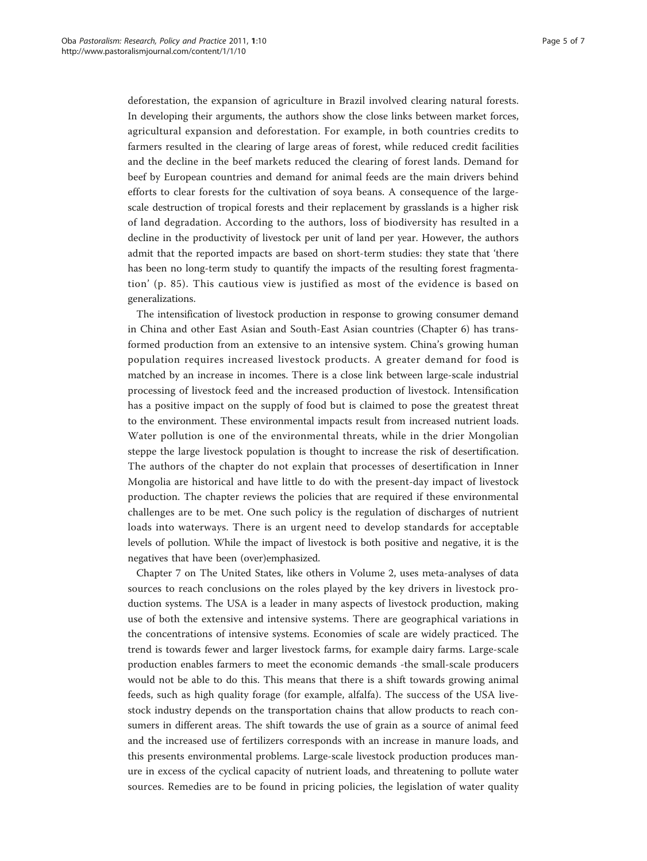deforestation, the expansion of agriculture in Brazil involved clearing natural forests. In developing their arguments, the authors show the close links between market forces, agricultural expansion and deforestation. For example, in both countries credits to farmers resulted in the clearing of large areas of forest, while reduced credit facilities and the decline in the beef markets reduced the clearing of forest lands. Demand for beef by European countries and demand for animal feeds are the main drivers behind efforts to clear forests for the cultivation of soya beans. A consequence of the largescale destruction of tropical forests and their replacement by grasslands is a higher risk of land degradation. According to the authors, loss of biodiversity has resulted in a decline in the productivity of livestock per unit of land per year. However, the authors admit that the reported impacts are based on short-term studies: they state that 'there has been no long-term study to quantify the impacts of the resulting forest fragmentation' (p. 85). This cautious view is justified as most of the evidence is based on generalizations.

The intensification of livestock production in response to growing consumer demand in China and other East Asian and South-East Asian countries (Chapter 6) has transformed production from an extensive to an intensive system. China's growing human population requires increased livestock products. A greater demand for food is matched by an increase in incomes. There is a close link between large-scale industrial processing of livestock feed and the increased production of livestock. Intensification has a positive impact on the supply of food but is claimed to pose the greatest threat to the environment. These environmental impacts result from increased nutrient loads. Water pollution is one of the environmental threats, while in the drier Mongolian steppe the large livestock population is thought to increase the risk of desertification. The authors of the chapter do not explain that processes of desertification in Inner Mongolia are historical and have little to do with the present-day impact of livestock production. The chapter reviews the policies that are required if these environmental challenges are to be met. One such policy is the regulation of discharges of nutrient loads into waterways. There is an urgent need to develop standards for acceptable levels of pollution. While the impact of livestock is both positive and negative, it is the negatives that have been (over)emphasized.

Chapter 7 on The United States, like others in Volume 2, uses meta-analyses of data sources to reach conclusions on the roles played by the key drivers in livestock production systems. The USA is a leader in many aspects of livestock production, making use of both the extensive and intensive systems. There are geographical variations in the concentrations of intensive systems. Economies of scale are widely practiced. The trend is towards fewer and larger livestock farms, for example dairy farms. Large-scale production enables farmers to meet the economic demands -the small-scale producers would not be able to do this. This means that there is a shift towards growing animal feeds, such as high quality forage (for example, alfalfa). The success of the USA livestock industry depends on the transportation chains that allow products to reach consumers in different areas. The shift towards the use of grain as a source of animal feed and the increased use of fertilizers corresponds with an increase in manure loads, and this presents environmental problems. Large-scale livestock production produces manure in excess of the cyclical capacity of nutrient loads, and threatening to pollute water sources. Remedies are to be found in pricing policies, the legislation of water quality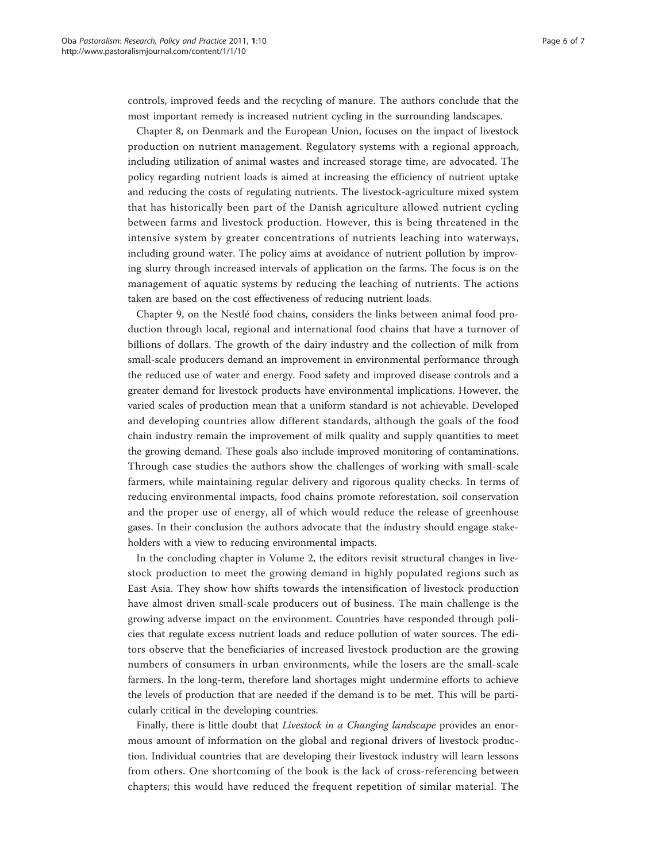controls, improved feeds and the recycling of manure. The authors conclude that the most important remedy is increased nutrient cycling in the surrounding landscapes.

Chapter 8, on Denmark and the European Union, focuses on the impact of livestock production on nutrient management. Regulatory systems with a regional approach, including utilization of animal wastes and increased storage time, are advocated. The policy regarding nutrient loads is aimed at increasing the efficiency of nutrient uptake and reducing the costs of regulating nutrients. The livestock-agriculture mixed system that has historically been part of the Danish agriculture allowed nutrient cycling between farms and livestock production. However, this is being threatened in the intensive system by greater concentrations of nutrients leaching into waterways, including ground water. The policy aims at avoidance of nutrient pollution by improving slurry through increased intervals of application on the farms. The focus is on the management of aquatic systems by reducing the leaching of nutrients. The actions taken are based on the cost effectiveness of reducing nutrient loads.

Chapter 9, on the Nestlé food chains, considers the links between animal food production through local, regional and international food chains that have a turnover of billions of dollars. The growth of the dairy industry and the collection of milk from small-scale producers demand an improvement in environmental performance through the reduced use of water and energy. Food safety and improved disease controls and a greater demand for livestock products have environmental implications. However, the varied scales of production mean that a uniform standard is not achievable. Developed and developing countries allow different standards, although the goals of the food chain industry remain the improvement of milk quality and supply quantities to meet the growing demand. These goals also include improved monitoring of contaminations. Through case studies the authors show the challenges of working with small-scale farmers, while maintaining regular delivery and rigorous quality checks. In terms of reducing environmental impacts, food chains promote reforestation, soil conservation and the proper use of energy, all of which would reduce the release of greenhouse gases. In their conclusion the authors advocate that the industry should engage stakeholders with a view to reducing environmental impacts.

In the concluding chapter in Volume 2, the editors revisit structural changes in livestock production to meet the growing demand in highly populated regions such as East Asia. They show how shifts towards the intensification of livestock production have almost driven small-scale producers out of business. The main challenge is the growing adverse impact on the environment. Countries have responded through policies that regulate excess nutrient loads and reduce pollution of water sources. The editors observe that the beneficiaries of increased livestock production are the growing numbers of consumers in urban environments, while the losers are the small-scale farmers. In the long-term, therefore land shortages might undermine efforts to achieve the levels of production that are needed if the demand is to be met. This will be particularly critical in the developing countries.

Finally, there is little doubt that Livestock in a Changing landscape provides an enormous amount of information on the global and regional drivers of livestock production. Individual countries that are developing their livestock industry will learn lessons from others. One shortcoming of the book is the lack of cross-referencing between chapters; this would have reduced the frequent repetition of similar material. The